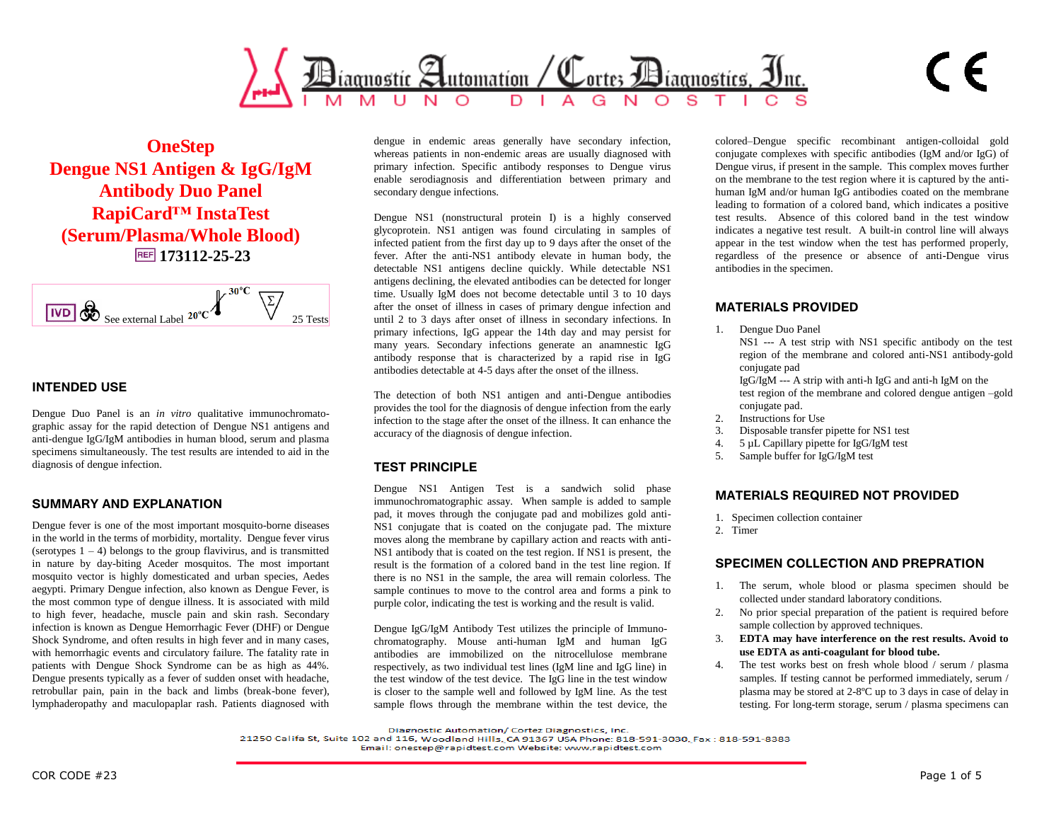

**OneStep Dengue NS1 Antigen & IgG/IgM Antibody Duo Panel RapiCard™ InstaTest (Serum/Plasma/Whole Blood) 173112-25-23**

$$
\begin{array}{|c|c|c|c|}\n\hline\n\text{IVD} & \text{See external Label } 20^{\circ}\text{C} & \text{X} \\
\hline\n\end{array}
$$

# **INTENDED USE**

Dengue Duo Panel is an *in vitro* qualitative immunochromatographic assay for the rapid detection of Dengue NS1 antigens and anti-dengue IgG/IgM antibodies in human blood, serum and plasma specimens simultaneously. The test results are intended to aid in the diagnosis of dengue infection.

## **SUMMARY AND EXPLANATION**

Dengue fever is one of the most important mosquito-borne diseases in the world in the terms of morbidity, mortality. Dengue fever virus (serotypes  $1 - 4$ ) belongs to the group flavivirus, and is transmitted in nature by day-biting Aceder mosquitos. The most important mosquito vector is highly domesticated and urban species, Aedes aegypti. Primary Dengue infection, also known as Dengue Fever, is the most common type of dengue illness. It is associated with mild to high fever, headache, muscle pain and skin rash. Secondary infection is known as Dengue Hemorrhagic Fever (DHF) or Dengue Shock Syndrome, and often results in high fever and in many cases, with hemorrhagic events and circulatory failure. The fatality rate in patients with Dengue Shock Syndrome can be as high as 44%. Dengue presents typically as a fever of sudden onset with headache, retrobullar pain, pain in the back and limbs (break-bone fever), lymphaderopathy and maculopaplar rash. Patients diagnosed with

dengue in endemic areas generally have secondary infection, whereas patients in non-endemic areas are usually diagnosed with primary infection. Specific antibody responses to Dengue virus enable serodiagnosis and differentiation between primary and secondary dengue infections.

Dengue NS1 (nonstructural protein I) is a highly conserved glycoprotein. NS1 antigen was found circulating in samples of infected patient from the first day up to 9 days after the onset of the fever. After the anti-NS1 antibody elevate in human body, the detectable NS1 antigens decline quickly. While detectable NS1 antigens declining, the elevated antibodies can be detected for longer time. Usually IgM does not become detectable until 3 to 10 days after the onset of illness in cases of primary dengue infection and until 2 to 3 days after onset of illness in secondary infections. In primary infections, IgG appear the 14th day and may persist for many years. Secondary infections generate an anamnestic IgG antibody response that is characterized by a rapid rise in IgG antibodies detectable at 4-5 days after the onset of the illness.

The detection of both NS1 antigen and anti-Dengue antibodies provides the tool for the diagnosis of dengue infection from the early infection to the stage after the onset of the illness. It can enhance the accuracy of the diagnosis of dengue infection.

## **TEST PRINCIPLE**

Dengue NS1 Antigen Test is a sandwich solid phase immunochromatographic assay. When sample is added to sample pad, it moves through the conjugate pad and mobilizes gold anti-NS1 conjugate that is coated on the conjugate pad. The mixture moves along the membrane by capillary action and reacts with anti-NS1 antibody that is coated on the test region. If NS1 is present, the result is the formation of a colored band in the test line region. If there is no NS1 in the sample, the area will remain colorless. The sample continues to move to the control area and forms a pink to purple color, indicating the test is working and the result is valid.

Dengue IgG/IgM Antibody Test utilizes the principle of Immunochromatography. Mouse anti-human IgM and human IgG antibodies are immobilized on the nitrocellulose membrane respectively, as two individual test lines (IgM line and IgG line) in the test window of the test device. The IgG line in the test window is closer to the sample well and followed by IgM line. As the test sample flows through the membrane within the test device, the colored–Dengue specific recombinant antigen-colloidal gold conjugate complexes with specific antibodies (IgM and/or IgG) of Dengue virus, if present in the sample. This complex moves further on the membrane to the test region where it is captured by the antihuman IgM and/or human IgG antibodies coated on the membrane leading to formation of a colored band, which indicates a positive test results. Absence of this colored band in the test window indicates a negative test result. A built-in control line will always appear in the test window when the test has performed properly, regardless of the presence or absence of anti-Dengue virus antibodies in the specimen.

 $\in$ 

## **MATERIALS PROVIDED**

- 1. Dengue Duo Panel
	- NS1 --- A test strip with NS1 specific antibody on the test region of the membrane and colored anti-NS1 antibody-gold conjugate pad

IgG/IgM --- A strip with anti-h IgG and anti-h IgM on the test region of the membrane and colored dengue antigen –gold conjugate pad.

- 2. Instructions for Use
- 3. Disposable transfer pipette for NS1 test
- 4. 5 µL Capillary pipette for IgG/IgM test
- 5. Sample buffer for IgG/IgM test

#### **MATERIALS REQUIRED NOT PROVIDED**

- 1. Specimen collection container
- 2. Timer

#### **SPECIMEN COLLECTION AND PREPRATION**

- 1. The serum, whole blood or plasma specimen should be collected under standard laboratory conditions.
- 2. No prior special preparation of the patient is required before sample collection by approved techniques.
- 3. **EDTA may have interference on the rest results. Avoid to use EDTA as anti-coagulant for blood tube.**
- 4. The test works best on fresh whole blood / serum / plasma samples. If testing cannot be performed immediately, serum / plasma may be stored at 2-8ºC up to 3 days in case of delay in testing. For long-term storage, serum / plasma specimens can

Diagnostic Automation/ Cortez Diagnostics, Inc.

21250 Califa St, Suite 102 and 116, Woodland Hills, CA 91367 USA Phone: 818-591-3030, Fax: 818-591-8383

Email: onestep@rapidtest.com Website: www.rapidtest.com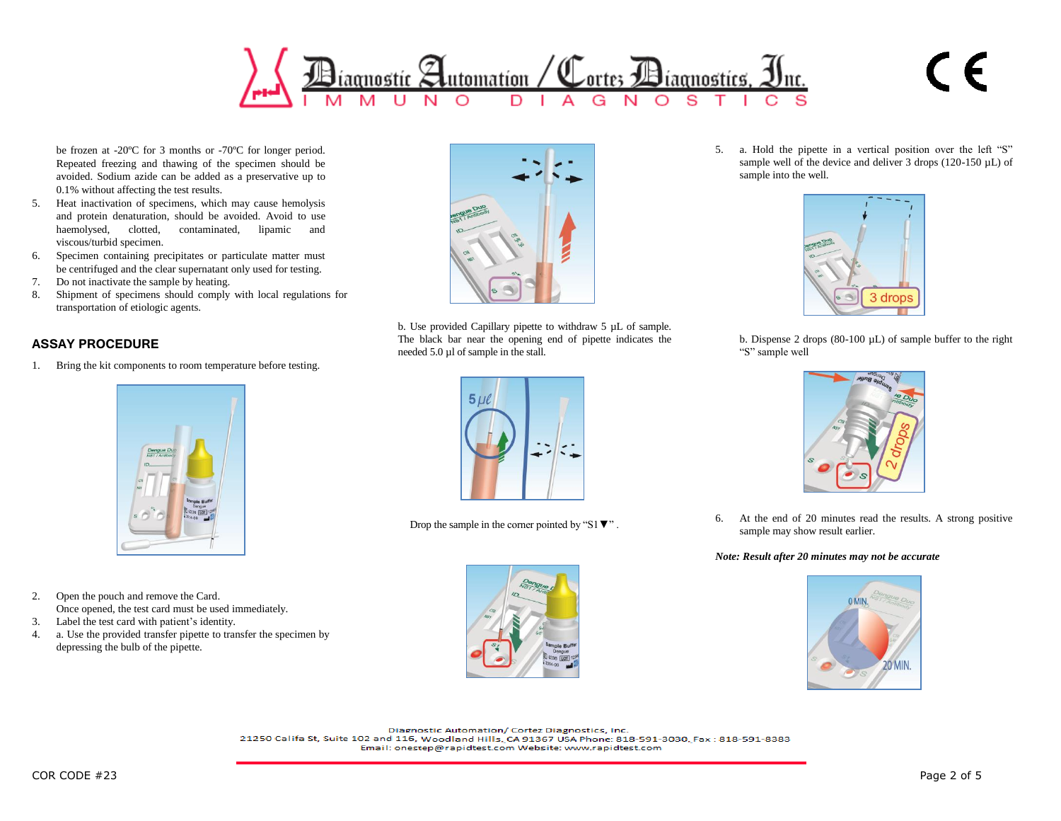

be frozen at -20ºC for 3 months or -70ºC for longer period. Repeated freezing and thawing of the specimen should be avoided. Sodium azide can be added as a preservative up to 0.1% without affecting the test results.

- 5. Heat inactivation of specimens, which may cause hemolysis and protein denaturation, should be avoided. Avoid to use haemolysed, clotted, contaminated, lipamic and viscous/turbid specimen.
- 6. Specimen containing precipitates or particulate matter must be centrifuged and the clear supernatant only used for testing.
- 7. Do not inactivate the sample by heating.
- 8. Shipment of specimens should comply with local regulations for transportation of etiologic agents.

# **ASSAY PROCEDURE**

1. Bring the kit components to room temperature before testing.



- 2. Open the pouch and remove the Card. Once opened, the test card must be used immediately.
- 3. Label the test card with patient's identity.
- 4. a. Use the provided transfer pipette to transfer the specimen by depressing the bulb of the pipette.



b. Use provided Capillary pipette to withdraw 5 µL of sample. The black bar near the opening end of pipette indicates the needed 5.0 µl of sample in the stall.



Drop the sample in the corner pointed by "S1▼" .



5. a. Hold the pipette in a vertical position over the left "S" sample well of the device and deliver 3 drops (120-150  $\mu$ L) of sample into the well.

 $\epsilon$ 



b. Dispense 2 drops  $(80-100 \mu L)$  of sample buffer to the right "S" sample well



6. At the end of 20 minutes read the results. A strong positive sample may show result earlier.

#### *Note: Result after 20 minutes may not be accurate*



Diagnostic Automation/ Cortez Diagnostics, Inc. 21250 Califa St, Suite 102 and 116, Woodland Hills, CA 91367 USA Phone: 818-591-3030, Fax: 818-591-8383 Email: onestep@rapidtest.com Website: www.rapidtest.com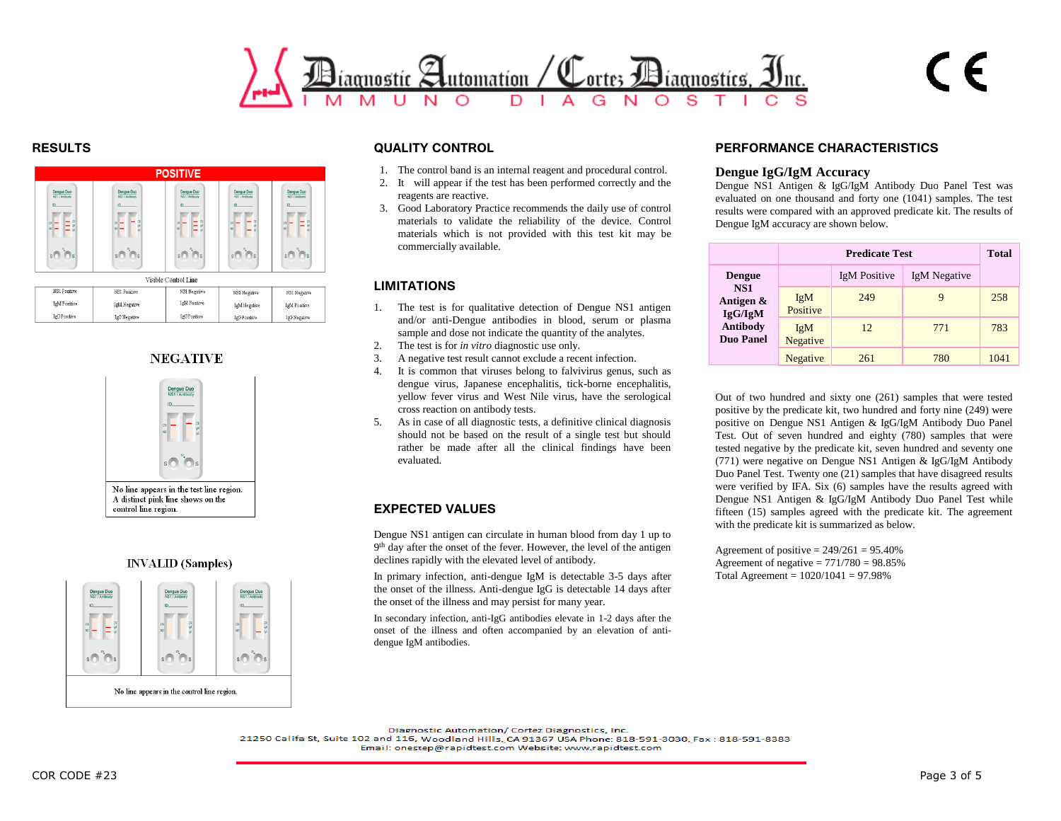

IgG Positiv

IgG Negativ



**InG** Positiv

IgG Positiv

IgG Negative



#### **INVALID** (Samples)



# **RESULTS QUALITY CONTROL**

- 1. The control band is an internal reagent and procedural control.
- 2. It will appear if the test has been performed correctly and the reagents are reactive.
- 3. Good Laboratory Practice recommends the daily use of control materials to validate the reliability of the device. Control materials which is not provided with this test kit may be commercially available.

# **LIMITATIONS**

- 1. The test is for qualitative detection of Dengue NS1 antigen and/or anti-Dengue antibodies in blood, serum or plasma sample and dose not indicate the quantity of the analytes.
- 2. The test is for *in vitro* diagnostic use only.
- 3. A negative test result cannot exclude a recent infection.
- 4. It is common that viruses belong to falvivirus genus, such as dengue virus, Japanese encephalitis, tick-borne encephalitis, yellow fever virus and West Nile virus, have the serological cross reaction on antibody tests.
- 5. As in case of all diagnostic tests, a definitive clinical diagnosis should not be based on the result of a single test but should rather be made after all the clinical findings have been evaluated.

# **EXPECTED VALUES**

Dengue NS1 antigen can circulate in human blood from day 1 up to 9<sup>th</sup> day after the onset of the fever. However, the level of the antigen declines rapidly with the elevated level of antibody.

In primary infection, anti-dengue IgM is detectable 3-5 days after the onset of the illness. Anti-dengue IgG is detectable 14 days after the onset of the illness and may persist for many year.

In secondary infection, anti-IgG antibodies elevate in 1-2 days after the onset of the illness and often accompanied by an elevation of antidengue IgM antibodies.

# **PERFORMANCE CHARACTERISTICS**

#### **Dengue IgG/IgM Accuracy**

Dengue NS1 Antigen & IgG/IgM Antibody Duo Panel Test was evaluated on one thousand and forty one (1041) samples. The test results were compared with an approved predicate kit. The results of Dengue IgM accuracy are shown below.

 $\in$ 

|                                                                    | <b>Predicate Test</b>  |              |                     | <b>Total</b> |
|--------------------------------------------------------------------|------------------------|--------------|---------------------|--------------|
| <b>Dengue</b>                                                      |                        | IgM Positive | <b>IgM</b> Negative |              |
| <b>NS1</b><br>Antigen &<br>IgG/IgM<br>Antibody<br><b>Duo Panel</b> | IgM<br>Positive        | 249          | 9                   | 258          |
|                                                                    | <b>IgM</b><br>Negative | 12           | 771                 | 783          |
|                                                                    | <b>Negative</b>        | 261          | 780                 | 1041         |

Out of two hundred and sixty one (261) samples that were tested positive by the predicate kit, two hundred and forty nine (249) were positive on Dengue NS1 Antigen & IgG/IgM Antibody Duo Panel Test. Out of seven hundred and eighty (780) samples that were tested negative by the predicate kit, seven hundred and seventy one (771) were negative on Dengue NS1 Antigen & IgG/IgM Antibody Duo Panel Test. Twenty one (21) samples that have disagreed results were verified by IFA. Six (6) samples have the results agreed with Dengue NS1 Antigen & IgG/IgM Antibody Duo Panel Test while fifteen (15) samples agreed with the predicate kit. The agreement with the predicate kit is summarized as below.

Agreement of positive  $= 249/261 = 95.40\%$ Agreement of negative  $= 771/780 = 98.85\%$ Total Agreement = 1020/1041 = 97.98%

Diagnostic Automation/ Cortez Diagnostics, Inc.

21250 Califa St, Suite 102 and 116, Woodland Hills, CA 91367 USA Phone: 818-591-3030, Fax: 818-591-8383

Email: onestep@rapidtest.com Website: www.rapidtest.com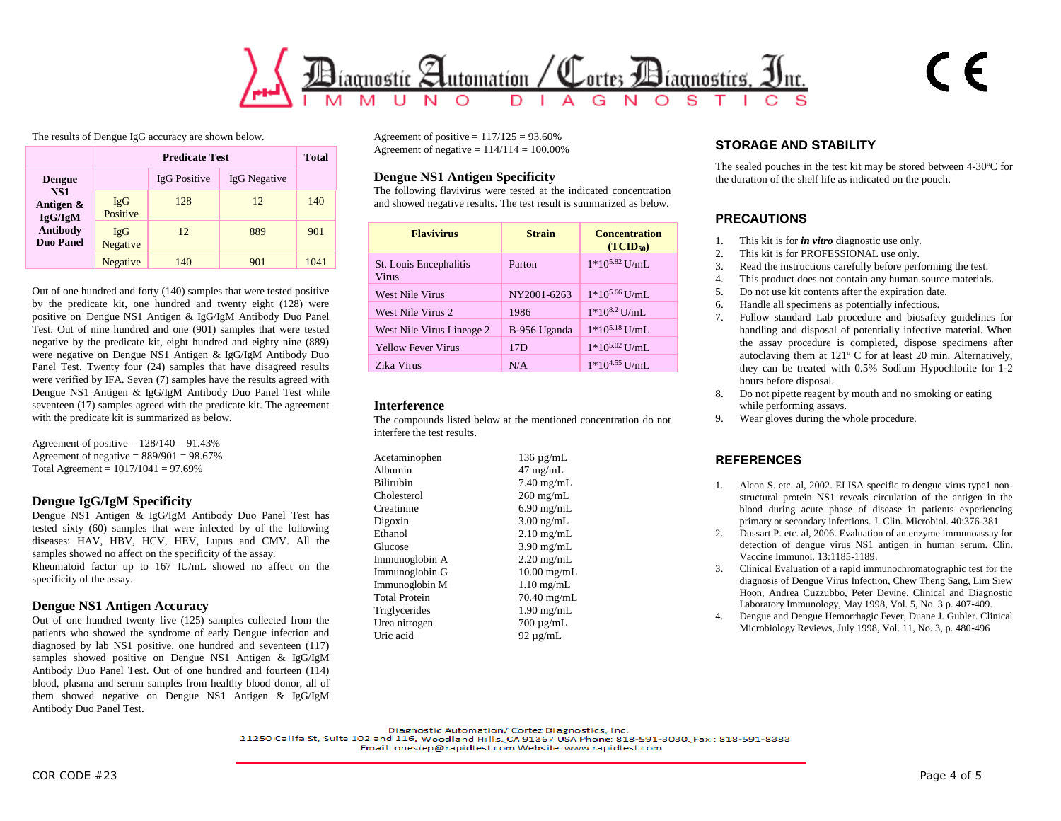

The results of Dengue IgG accuracy are shown below.

|                                                                                            | <b>Predicate Test</b>  |              |              | <b>Total</b> |
|--------------------------------------------------------------------------------------------|------------------------|--------------|--------------|--------------|
| <b>Dengue</b><br><b>NS1</b><br>Antigen &<br>IgG/IgM<br><b>Antibody</b><br><b>Duo Panel</b> |                        | IgG Positive | IgG Negative |              |
|                                                                                            | <b>IgG</b><br>Positive | 128          | 12           | 140          |
|                                                                                            | IgG<br>Negative        | 12           | 889          | 901          |
|                                                                                            | Negative               | 140          | 901          | 1041         |

Out of one hundred and forty (140) samples that were tested positive by the predicate kit, one hundred and twenty eight (128) were positive on Dengue NS1 Antigen & IgG/IgM Antibody Duo Panel Test. Out of nine hundred and one (901) samples that were tested negative by the predicate kit, eight hundred and eighty nine (889) were negative on Dengue NS1 Antigen & IgG/IgM Antibody Duo Panel Test. Twenty four (24) samples that have disagreed results were verified by IFA. Seven (7) samples have the results agreed with Dengue NS1 Antigen & IgG/IgM Antibody Duo Panel Test while seventeen (17) samples agreed with the predicate kit. The agreement with the predicate kit is summarized as below.

Agreement of positive  $= 128/140 = 91.43\%$ Agreement of negative  $= 889/901 = 98.67\%$ Total Agreement =  $1017/1041 = 97.69%$ 

## **Dengue IgG/IgM Specificity**

Dengue NS1 Antigen & IgG/IgM Antibody Duo Panel Test has tested sixty (60) samples that were infected by of the following diseases: HAV, HBV, HCV, HEV, Lupus and CMV. All the samples showed no affect on the specificity of the assay. Rheumatoid factor up to 167 IU/mL showed no affect on the specificity of the assay.

## **Dengue NS1 Antigen Accuracy**

Out of one hundred twenty five (125) samples collected from the patients who showed the syndrome of early Dengue infection and diagnosed by lab NS1 positive, one hundred and seventeen (117) samples showed positive on Dengue NS1 Antigen & IgG/IgM Antibody Duo Panel Test. Out of one hundred and fourteen (114) blood, plasma and serum samples from healthy blood donor, all of them showed negative on Dengue NS1 Antigen & IgG/IgM Antibody Duo Panel Test.

Agreement of positive  $= 117/125 = 93.60\%$ Agreement of negative  $= 114/114 = 100.00\%$ 

# **Dengue NS1 Antigen Specificity**

The following flavivirus were tested at the indicated concentration and showed negative results. The test result is summarized as below.

| <b>Flavivirus</b>                      | <b>Strain</b> | <b>Concentration</b><br>(TCID <sub>50</sub> ) |
|----------------------------------------|---------------|-----------------------------------------------|
| St. Louis Encephalitis<br><b>Virus</b> | Parton        | $1*10^{5.82}$ U/mL                            |
| <b>West Nile Virus</b>                 | NY2001-6263   | $1*10^{5.66}$ U/mL                            |
| West Nile Virus 2                      | 1986          | $1*10^{8.2}$ U/mL                             |
| West Nile Virus Lineage 2              | B-956 Uganda  | $1*10^{5.18}$ U/mL                            |
| <b>Yellow Fever Virus</b>              | 17D           | $1*10^{5.02}$ U/mL                            |
| Zika Virus                             | N/A           | $1*10^{4.55}$ U/mL                            |

## **Interference**

The compounds listed below at the mentioned concentration do not interfere the test results.

| Acetaminophen        | $136 \mu g/mL$       |
|----------------------|----------------------|
| Albumin              | $47 \text{ mg/mL}$   |
| <b>Bilirubin</b>     | $7.40$ mg/mL         |
| Cholesterol          | $260 \text{ mg/mL}$  |
| Creatinine           | $6.90$ mg/mL         |
| Digoxin              | $3.00 \text{ ng/mL}$ |
| Ethanol              | $2.10$ mg/mL         |
| Glucose              | $3.90$ mg/mL         |
| Immunoglobin A       | $2.20$ mg/mL         |
| Immunoglobin G       | $10.00$ mg/mL        |
| Immunoglobin M       | $1.10$ mg/mL         |
| <b>Total Protein</b> | $70.40$ mg/mL        |
| Triglycerides        | $1.90$ mg/mL         |
| Urea nitrogen        | $700 \mu g/mL$       |
| Uric acid            | 92 $\mu$ g/mL        |

# **STORAGE AND STABILITY**

The sealed pouches in the test kit may be stored between 4-30ºC for the duration of the shelf life as indicated on the pouch.

# **PRECAUTIONS**

- 1. This kit is for *in vitro* diagnostic use only.
- 2. This kit is for PROFESSIONAL use only.
- 3. Read the instructions carefully before performing the test.
- 4. This product does not contain any human source materials.
- 5. Do not use kit contents after the expiration date.
- 6. Handle all specimens as potentially infectious.
- 7. Follow standard Lab procedure and biosafety guidelines for handling and disposal of potentially infective material. When the assay procedure is completed, dispose specimens after autoclaving them at 121º C for at least 20 min. Alternatively, they can be treated with 0.5% Sodium Hypochlorite for 1-2 hours before disposal.
- 8. Do not pipette reagent by mouth and no smoking or eating while performing assays.
- 9. Wear gloves during the whole procedure.

# **REFERENCES**

- 1. Alcon S. etc. al, 2002. ELISA specific to dengue virus type1 nonstructural protein NS1 reveals circulation of the antigen in the blood during acute phase of disease in patients experiencing primary or secondary infections. J. Clin. Microbiol. 40:376-381
- 2. Dussart P. etc. al, 2006. Evaluation of an enzyme immunoassay for detection of dengue virus NS1 antigen in human serum. Clin. Vaccine Immunol. 13:1185-1189.
- 3. Clinical Evaluation of a rapid immunochromatographic test for the diagnosis of Dengue Virus Infection, Chew Theng Sang, Lim Siew Hoon, Andrea Cuzzubbo, Peter Devine. Clinical and Diagnostic Laboratory Immunology, May 1998, Vol. 5, No. 3 p. 407-409.
- 4. Dengue and Dengue Hemorrhagic Fever, Duane J. Gubler. Clinical Microbiology Reviews, July 1998, Vol. 11, No. 3, p. 480-496

Diagnostic Automation/ Cortez Diagnostics, Inc.

21250 Califa St, Suite 102 and 116, Woodland Hills, CA 91367 USA Phone: 818-591-3030, Fax: 818-591-8383

Email: onestep@rapidtest.com Website: www.rapidtest.com